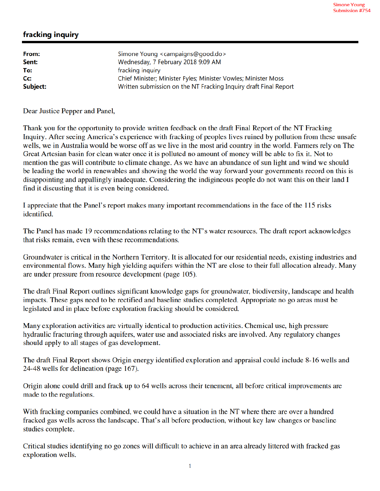## fracking inquiry

| From:    | Simone Young <campaigns@good.do></campaigns@good.do>             |
|----------|------------------------------------------------------------------|
| Sent:    | Wednesday, 7 February 2018 9:09 AM                               |
| To:      | fracking inquiry                                                 |
| Cc:      | Chief Minister; Minister Fyles; Minister Vowles; Minister Moss   |
| Subject: | Written submission on the NT Fracking Inquiry draft Final Report |

Dear Justice Pepper and Panel,

Thank you for the opportunity to provide written feedback on the draft Final Report of the NT Fracking Inquiry. After seeing America's experience with fracking of peoples lives ruined by pollution from these unsafe wells, we in Australia would be worse off as we live in the most arid country in the world. Farmers rely on The Great Artesian basin for clean water once it is polluted no amount of money will be able to fix it. Not to mention the gas will contribute to climate change. As we have an abundance of sun light and wind we should be leading the world in renewables and showing the world the way forward your governments record on this is disappointing and appallingly inadequate. Considering the indigineous people do not want this on their land I find it discusting that it is even being considered.

I appreciate that the Panel's report makes many important recommendations in the face of the 115 risks identified.

The Panel has made 19 recommendations relating to the NT's water resources. The draft report acknowledges that risks remain, even with these recommendations.

Groundwater is critical in the Northern Territory. It is allocated for our residential needs, existing industries and environmental flows. Many high yielding aquifers within the NT are close to their full allocation already. Many are under pressure from resource development (page 105).

The draft Final Report outlines significant knowledge gaps for groundwater, biodiversity, landscape and health impacts. These gaps need to be rectified and baseline studies completed. Appropriate no go areas must be legislated and in place before exploration fracking should be considered.

Many exploration activities are virtually identical to production activities. Chemical use, high pressure hydraulic fracturing through aquifers, water use and associated risks are involved. Any regulatory changes should apply to all stages of gas development.

The draft Final Report shows Origin energy identified exploration and appraisal could include 8-16 wells and 24-48 wells for delineation (page 167).

Origin alone could drill and frack up to 64 wells across their tenement, all before critical improvements are made to the regulations.

With fracking companies combined, we could have a situation in the NT where there are over a hundred fracked gas wells across the landscape. That's all before production, without key law changes or baseline studies complete.

Critical studies identifying no go zones will difficult to achieve in an area already littered with fracked gas exploration wells.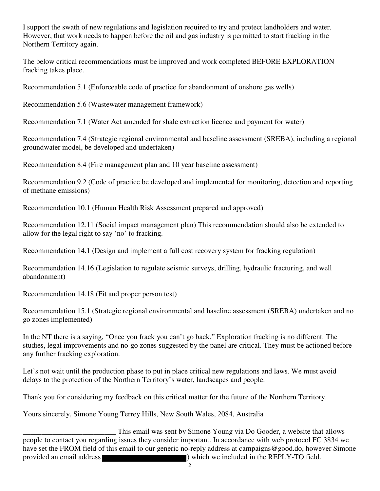I support the swath of new regulations and legislation required to try and protect landholders and water. However, that work needs to happen before the oil and gas industry is permitted to start fracking in the Northern Territory again.

The below critical recommendations must be improved and work completed BEFORE EXPLORATION fracking takes place.

Recommendation 5.1 (Enforceable code of practice for abandonment of onshore gas wells)

Recommendation 5.6 (Wastewater management framework)

Recommendation 7.1 (Water Act amended for shale extraction licence and payment for water)

Recommendation 7.4 (Strategic regional environmental and baseline assessment (SREBA), including a regional groundwater model, be developed and undertaken)

Recommendation 8.4 (Fire management plan and 10 year baseline assessment)

Recommendation 9.2 (Code of practice be developed and implemented for monitoring, detection and reporting of methane emissions)

Recommendation 10.1 (Human Health Risk Assessment prepared and approved)

Recommendation 12.11 (Social impact management plan) This recommendation should also be extended to allow for the legal right to say 'no' to fracking.

Recommendation 14.1 (Design and implement a full cost recovery system for fracking regulation)

Recommendation 14.16 (Legislation to regulate seismic surveys, drilling, hydraulic fracturing, and well abandonment)

Recommendation 14.18 (Fit and proper person test)

Recommendation 15.1 (Strategic regional environmental and baseline assessment (SREBA) undertaken and no go zones implemented)

In the NT there is a saying, "Once you frack you can't go back." Exploration fracking is no different. The studies, legal improvements and no-go zones suggested by the panel are critical. They must be actioned before any further fracking exploration.

Let's not wait until the production phase to put in place critical new regulations and laws. We must avoid delays to the protection of the Northern Territory's water, landscapes and people.

Thank you for considering my feedback on this critical matter for the future of the Northern Territory.

Yours sincerely, Simone Young Terrey Hills, New South Wales, 2084, Australia

This email was sent by Simone Young via Do Gooder, a website that allows<br>people to contact you regarding issues they consider important. In accordance with web protocol FC 3834 we have set the FROM field of this email to our generic no-reply address at campaigns@good.do, however Simone provided an email address ) which we included in the REPLY-TO field.